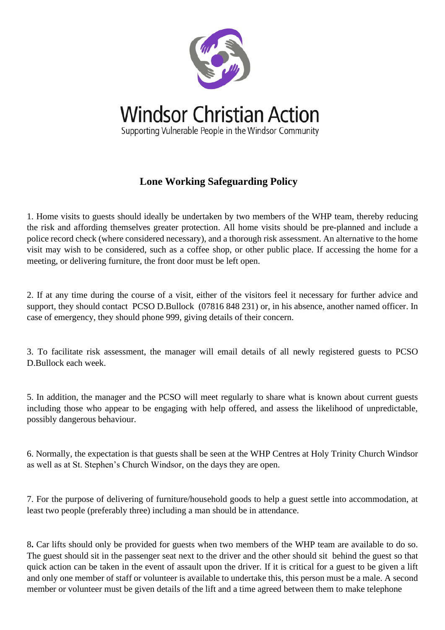

## **Lone Working Safeguarding Policy**

1. Home visits to guests should ideally be undertaken by two members of the WHP team, thereby reducing the risk and affording themselves greater protection. All home visits should be pre-planned and include a police record check (where considered necessary), and a thorough risk assessment. An alternative to the home visit may wish to be considered, such as a coffee shop, or other public place. If accessing the home for a meeting, or delivering furniture, the front door must be left open.

2. If at any time during the course of a visit, either of the visitors feel it necessary for further advice and support, they should contact PCSO D.Bullock (07816 848 231) or, in his absence, another named officer. In case of emergency, they should phone 999, giving details of their concern.

3. To facilitate risk assessment, the manager will email details of all newly registered guests to PCSO D.Bullock each week.

5. In addition, the manager and the PCSO will meet regularly to share what is known about current guests including those who appear to be engaging with help offered, and assess the likelihood of unpredictable, possibly dangerous behaviour.

6. Normally, the expectation is that guests shall be seen at the WHP Centres at Holy Trinity Church Windsor as well as at St. Stephen's Church Windsor, on the days they are open.

7. For the purpose of delivering of furniture/household goods to help a guest settle into accommodation, at least two people (preferably three) including a man should be in attendance.

8**.** Car lifts should only be provided for guests when two members of the WHP team are available to do so. The guest should sit in the passenger seat next to the driver and the other should sit behind the guest so that quick action can be taken in the event of assault upon the driver. If it is critical for a guest to be given a lift and only one member of staff or volunteer is available to undertake this, this person must be a male. A second member or volunteer must be given details of the lift and a time agreed between them to make telephone